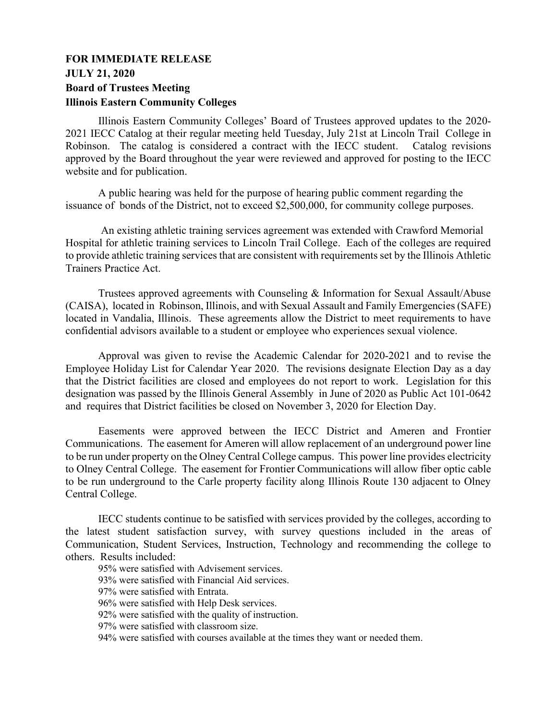## **FOR IMMEDIATE RELEASE JULY 21, 2020 Board of Trustees Meeting Illinois Eastern Community Colleges**

Illinois Eastern Community Colleges' Board of Trustees approved updates to the 2020- 2021 IECC Catalog at their regular meeting held Tuesday, July 21st at Lincoln Trail College in Robinson. The catalog is considered a contract with the IECC student. Catalog revisions approved by the Board throughout the year were reviewed and approved for posting to the IECC website and for publication.

A public hearing was held for the purpose of hearing public comment regarding the issuance of bonds of the District, not to exceed \$2,500,000, for community college purposes.

An existing athletic training services agreement was extended with Crawford Memorial Hospital for athletic training services to Lincoln Trail College. Each of the colleges are required to provide athletic training services that are consistent with requirements set by the Illinois Athletic Trainers Practice Act.

Trustees approved agreements with Counseling & Information for Sexual Assault/Abuse (CAISA), located in Robinson, Illinois, and with Sexual Assault and Family Emergencies (SAFE) located in Vandalia, Illinois. These agreements allow the District to meet requirements to have confidential advisors available to a student or employee who experiences sexual violence.

Approval was given to revise the Academic Calendar for 2020-2021 and to revise the Employee Holiday List for Calendar Year 2020. The revisions designate Election Day as a day that the District facilities are closed and employees do not report to work. Legislation for this designation was passed by the Illinois General Assembly in June of 2020 as Public Act 101-0642 and requires that District facilities be closed on November 3, 2020 for Election Day.

Easements were approved between the IECC District and Ameren and Frontier Communications. The easement for Ameren will allow replacement of an underground power line to be run under property on the Olney Central College campus. This power line provides electricity to Olney Central College. The easement for Frontier Communications will allow fiber optic cable to be run underground to the Carle property facility along Illinois Route 130 adjacent to Olney Central College.

IECC students continue to be satisfied with services provided by the colleges, according to the latest student satisfaction survey, with survey questions included in the areas of Communication, Student Services, Instruction, Technology and recommending the college to others. Results included:

95% were satisfied with Advisement services.

93% were satisfied with Financial Aid services.

97% were satisfied with Entrata.

96% were satisfied with Help Desk services.

92% were satisfied with the quality of instruction.

97% were satisfied with classroom size.

94% were satisfied with courses available at the times they want or needed them.